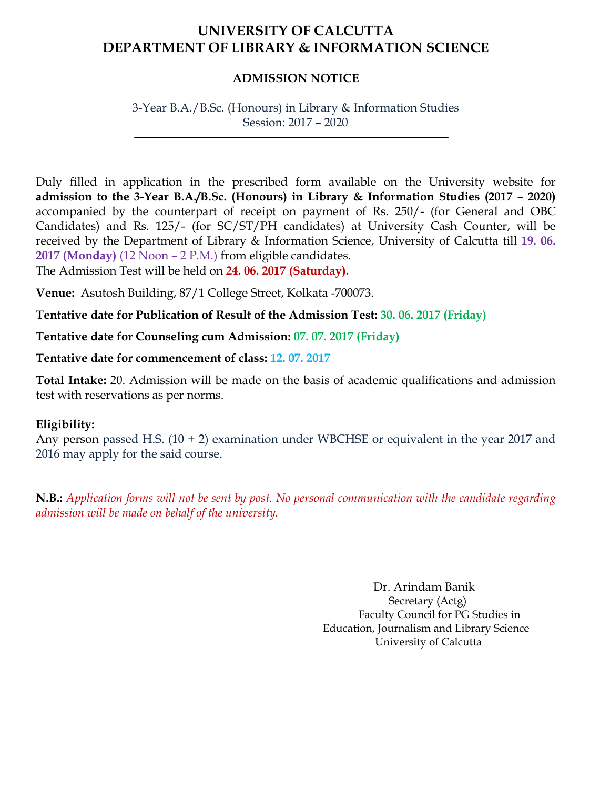## **UNIVERSITY OF CALCUTTA DEPARTMENT OF LIBRARY & INFORMATION SCIENCE**

#### **ADMISSION NOTICE**

3-Year B.A./B.Sc. (Honours) in Library & Information Studies Session: 2017 – 2020

Duly filled in application in the prescribed form available on the University website for **admission to the 3-Year B.A./B.Sc. (Honours) in Library & Information Studies (2017 – 2020)** accompanied by the counterpart of receipt on payment of Rs. 250/- (for General and OBC Candidates) and Rs. 125/- (for SC/ST/PH candidates) at University Cash Counter, will be received by the Department of Library & Information Science, University of Calcutta till **19. 06. 2017 (Monday)** (12 Noon – 2 P.M.) from eligible candidates.

The Admission Test will be held on **24. 06. 2017 (Saturday).**

**Venue:** Asutosh Building, 87/1 College Street, Kolkata -700073.

**Tentative date for Publication of Result of the Admission Test: 30. 06. 2017 (Friday)**

**Tentative date for Counseling cum Admission: 07. 07. 2017 (Friday)**

**Tentative date for commencement of class: 12. 07. 2017**

**Total Intake:** 20. Admission will be made on the basis of academic qualifications and admission test with reservations as per norms.

#### **Eligibility:**

Any person passed H.S. (10 + 2) examination under WBCHSE or equivalent in the year 2017 and 2016 may apply for the said course.

**N.B.:** *Application forms will not be sent by post. No personal communication with the candidate regarding admission will be made on behalf of the university.*

> Dr. Arindam Banik Secretary (Actg) Faculty Council for PG Studies in Education, Journalism and Library Science University of Calcutta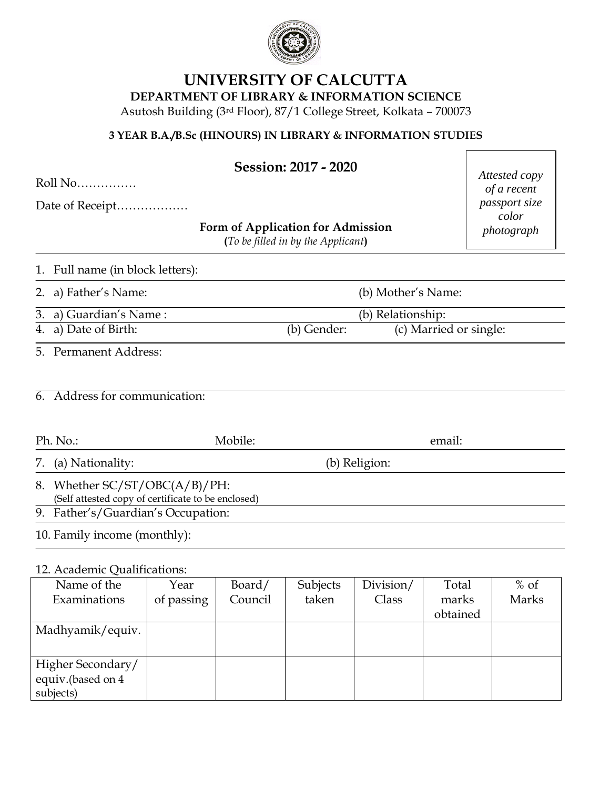

# **UNIVERSITY OF CALCUTTA**

**DEPARTMENT OF LIBRARY & INFORMATION SCIENCE**

Asutosh Building (3rd Floor), 87/1 College Street, Kolkata – 700073

#### **3 YEAR B.A./B.Sc (HINOURS) IN LIBRARY & INFORMATION STUDIES**

| Session: 2017 - 2020 |  |  |
|----------------------|--|--|
|----------------------|--|--|

Roll No……………

Date of Receipt………………

**Form of Application for Admission**

**(***To be filled in by the Applicant***)**

*Attested copy of a recent passport size color photograph*

1. Full name (in block letters):

2. a) Father's Name: (b) Mother's Name:

3. a) Guardian's Name : (b) Relationship:

4. a) Date of Birth: (b) Gender: (c) Married or single:

5. Permanent Address:

| 6. Address for communication: |
|-------------------------------|
|                               |

| Mobile:<br>Ph. No.                                                                  |               | email: |  |  |
|-------------------------------------------------------------------------------------|---------------|--------|--|--|
| 7. (a) Nationality:                                                                 | (b) Religion: |        |  |  |
| 8. Whether SC/ST/OBC(A/B)/PH:<br>(Self attested copy of certificate to be enclosed) |               |        |  |  |
| 9. Father's/Guardian's Occupation:                                                  |               |        |  |  |
| 10. Family income (monthly):                                                        |               |        |  |  |

#### 12. Academic Qualifications:

| Name of the       | Year       | Board/  | Subjects | Division/ | Total    | $%$ of |
|-------------------|------------|---------|----------|-----------|----------|--------|
| Examinations      | of passing | Council | taken    | Class     | marks    | Marks  |
|                   |            |         |          |           | obtained |        |
| Madhyamik/equiv.  |            |         |          |           |          |        |
|                   |            |         |          |           |          |        |
| Higher Secondary/ |            |         |          |           |          |        |
| equiv.(based on 4 |            |         |          |           |          |        |
| subjects)         |            |         |          |           |          |        |